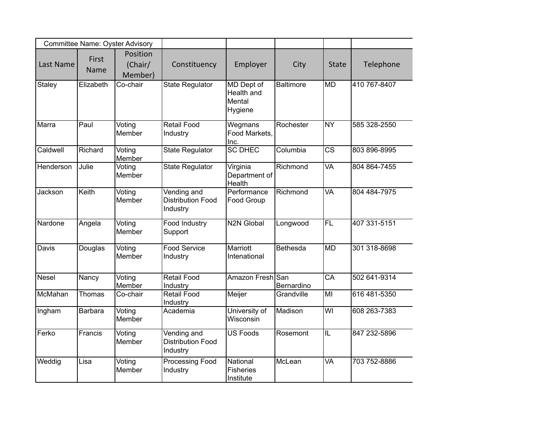|              |               | Committee Name: Oyster Advisory |                                                     |                                               |                  |                         |              |
|--------------|---------------|---------------------------------|-----------------------------------------------------|-----------------------------------------------|------------------|-------------------------|--------------|
| Last Name    | First<br>Name | Position<br>(Chair/<br>Member)  | Constituency                                        | Employer                                      | City             | <b>State</b>            | Telephone    |
| Staley       | Elizabeth     | Co-chair                        | <b>State Regulator</b>                              | MD Dept of<br>Health and<br>Mental<br>Hygiene | <b>Baltimore</b> | <b>MD</b>               | 410 767-8407 |
| Marra        | Paul          | Voting<br>Member                | <b>Retail Food</b><br>Industry                      | Wegmans<br>Food Markets,<br>Inc.              | Rochester        | <b>NY</b>               | 585 328-2550 |
| Caldwell     | Richard       | Voting<br>Member                | <b>State Regulator</b>                              | <b>SC DHEC</b>                                | Columbia         | $\overline{\text{cs}}$  | 803 896-8995 |
| Henderson    | Julie         | Voting<br>Member                | <b>State Regulator</b>                              | Virginia<br>Department of<br>Health           | Richmond         | <b>VA</b>               | 804 864-7455 |
| Jackson      | Keith         | Voting<br>Member                | Vending and<br><b>Distribution Food</b><br>Industry | Performance<br>Food Group                     | Richmond         | <b>VA</b>               | 804 484-7975 |
| Nardone      | Angela        | Voting<br>Member                | <b>Food Industry</b><br>Support                     | <b>N2N Global</b>                             | Longwood         | FL                      | 407 331-5151 |
| Davis        | Douglas       | Voting<br>Member                | <b>Food Service</b><br>Industry                     | <b>Marriott</b><br>Intenational               | Bethesda         | <b>MD</b>               | 301 318-8698 |
| <b>Nesel</b> | Nancy         | Voting<br>Member                | <b>Retail Food</b><br>Industry                      | Amazon Fresh San                              | Bernardino       | $\overline{\text{CA}}$  | 502 641-9314 |
| McMahan      | Thomas        | Co-chair                        | <b>Retail Food</b><br>Industry                      | <b>Meijer</b>                                 | Grandville       | MI                      | 616 481-5350 |
| Ingham       | Barbara       | Voting<br>Member                | Academia                                            | University of<br>Wisconsin                    | Madison          | $\overline{\mathsf{W}}$ | 608 263-7383 |
| Ferko        | Francis       | Voting<br>Member                | Vending and<br><b>Distribution Food</b><br>Industry | <b>US Foods</b>                               | Rosemont         | ĪL                      | 847 232-5896 |
| Weddig       | Lisa          | Voting<br>Member                | Processing Food<br>Industry                         | National<br><b>Fisheries</b><br>Institute     | McLean           | <b>VA</b>               | 703 752-8886 |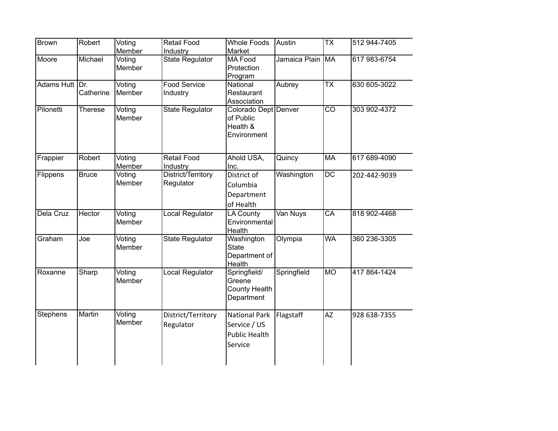| 512 944-7405 |
|--------------|
|              |
| 617 983-6754 |
|              |
|              |
| 630 605-3022 |
|              |
|              |
| 303 902-4372 |
|              |
|              |
|              |
|              |
| 617 689-4090 |
| 202-442-9039 |
|              |
|              |
|              |
|              |
| 818 902-4468 |
|              |
|              |
| 360 236-3305 |
|              |
|              |
| 417 864-1424 |
|              |
|              |
|              |
|              |
| 928 638-7355 |
|              |
|              |
|              |
|              |
|              |
|              |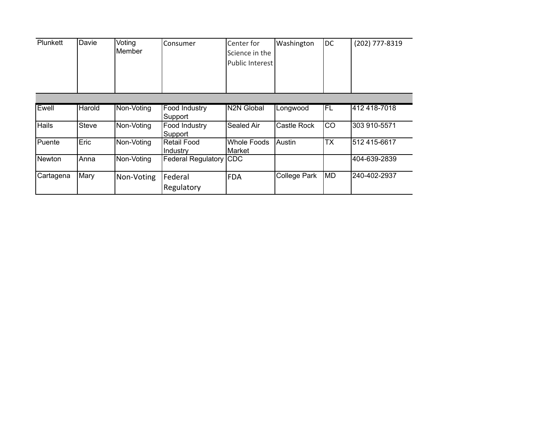| Plunkett      | Davie        | Voting<br>Member | Consumer                        | Center for<br>Science in the<br>Public Interest | Washington          | DC        | (202) 777-8319 |
|---------------|--------------|------------------|---------------------------------|-------------------------------------------------|---------------------|-----------|----------------|
|               |              |                  |                                 |                                                 |                     |           |                |
| Ewell         | Harold       | Non-Voting       | <b>Food Industry</b><br>Support | <b>N2N Global</b>                               | Longwood            | IFL       | 412 418-7018   |
| Hails         | <b>Steve</b> | Non-Voting       | Food Industry<br>Support        | Sealed Air                                      | <b>Castle Rock</b>  | lco       | 303 910-5571   |
| Puente        | Eric         | Non-Voting       | Retail Food<br>Industry         | <b>Whole Foods</b><br>Market                    | Austin              | <b>TX</b> | 512 415-6617   |
| <b>Newton</b> | Anna         | Non-Voting       | Federal Regulatory CDC          |                                                 |                     |           | 404-639-2839   |
| Cartagena     | Mary         | Non-Voting       | Federal<br>Regulatory           | <b>IFDA</b>                                     | <b>College Park</b> | MD        | 240-402-2937   |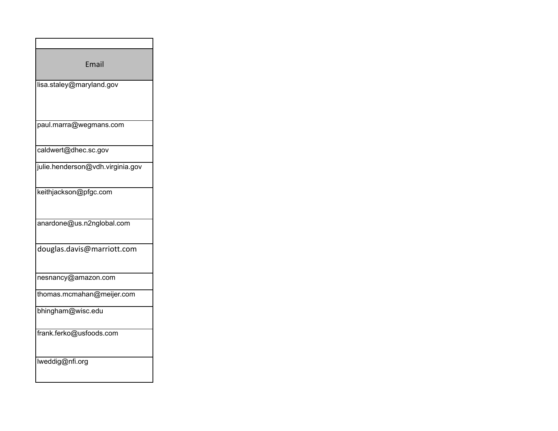| Email                            |
|----------------------------------|
| lisa.staley@maryland.gov         |
| paul.marra@wegmans.com           |
| caldwert@dhec.sc.gov             |
| julie.henderson@vdh.virginia.gov |
| keithjackson@pfgc.com            |
| anardone@us.n2nglobal.com        |
| douglas.davis@marriott.com       |
| nesnancy@amazon.com              |
| thomas.mcmahan@meijer.com        |
| bhingham@wisc.edu                |
| frank.ferko@usfoods.com          |
| lweddig@nfi.org                  |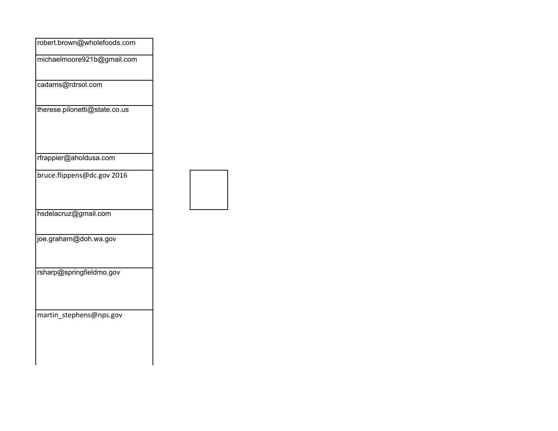| robert.brown@wholefoods.com   |  |
|-------------------------------|--|
| michaelmoore921b@gmail.com    |  |
| cadams@rdrsol.com             |  |
| therese.pilonetti@state.co.us |  |
| rfrappier@aholdusa.com        |  |
| bruce.flippens@dc.gov 2016    |  |
| hsdelacruz@gmail.com          |  |
| joe.graham@doh.wa.gov         |  |
| rsharp@springfieldmo.gov      |  |
| martin_stephens@nps.gov       |  |